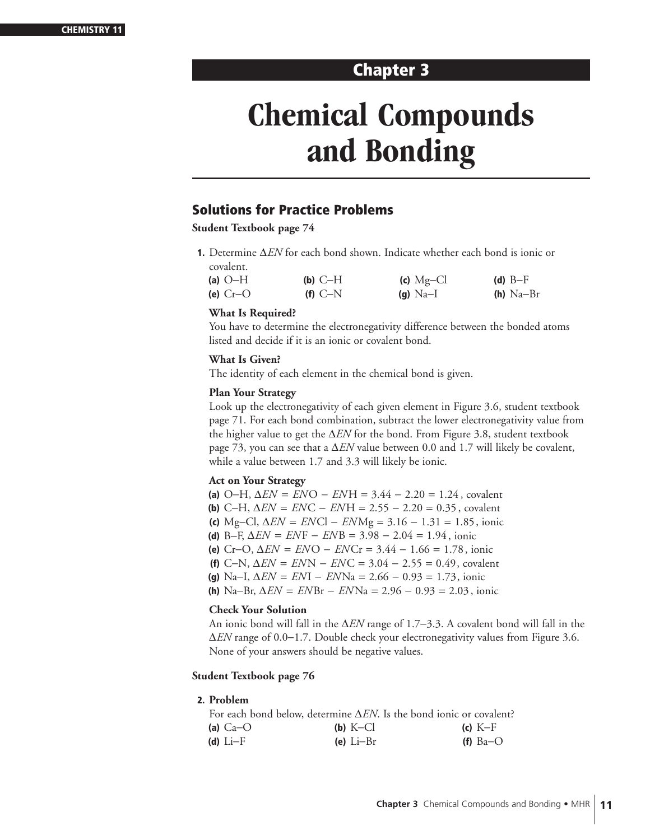# **Chapter 3**

# **Chemical Compounds and Bonding**

# **Solutions for Practice Problems**

**Student Textbook page 74** 

**1.** Determine ∆*EN* for each bond shown. Indicate whether each bond is ionic or covalent.

| (a) $O-H$  | $(b)$ C-H | (c) $Mg-Cl$ | (d) $B-F$   |
|------------|-----------|-------------|-------------|
| (e) $Cr-O$ | $(f)$ C-N | (g) $Na-I$  | $(h)$ Na-Br |

#### **What Is Required?**

You have to determine the electronegativity difference between the bonded atoms listed and decide if it is an ionic or covalent bond.

#### **What Is Given?**

The identity of each element in the chemical bond is given.

#### **Plan Your Strategy**

Look up the electronegativity of each given element in Figure 3.6, student textbook page 71. For each bond combination, subtract the lower electronegativity value from the higher value to get the ∆*EN* for the bond. From Figure 3.8, student textbook page 73, you can see that a ∆*EN* value between 0.0 and 1.7 will likely be covalent, while a value between 1.7 and 3.3 will likely be ionic.

#### **Act on Your Strategy**

- **(a)** O−H, ∆*EN* = *EN* O − *EN* H = 3.44 − 2.20 = 1.24 , covalent
- **(b)** C−H, ∆*EN* = *EN* C − *EN* H = 2.55 − 2.20 = 0.35 , covalent
- **(c)** Mg−Cl, ∆*EN* = *EN* Cl − *EN* Mg = 3.16 − 1.31 = 1.85, ionic
- **(d)** B−F, ∆*EN* = *EN* F − *EN* B = 3.98 − 2.04 = 1.94 , ionic
- **(e)** Cr−O, ∆*EN* = *EN* O − *EN* Cr = 3.44 − 1.66 = 1.78, ionic
- **(f)** C−N, ∆*EN* = *EN* N − *EN* C = 3.04 − 2.55 = 0.49, covalent
- **(g)** Na−I, ∆*EN* = *EN* I − *EN* Na = 2.66 − 0.93 = 1.73, ionic
- **(h)** Na−Br, ∆*EN* = *EN* Br − *EN* Na = 2.96 − 0.93 = 2.03 , ionic

#### **Check Your Solution**

An ionic bond will fall in the ∆*EN* range of 1.7−3.3. A covalent bond will fall in the ∆*EN* range of 0.0−1.7. Double check your electronegativity values from Figure 3.6. None of your answers should be negative values.

#### **Student Textbook page 76**

#### **2. Problem**

|            | For each bond below, determine $\Delta EN$ . Is the bond ionic or covalent? |            |
|------------|-----------------------------------------------------------------------------|------------|
| (a) $Ca-O$ | (b) $K-Cl$                                                                  | $(c)$ K-F  |
| (d) $Li-F$ | (e) $Li-Br$                                                                 | (f) $Ba-O$ |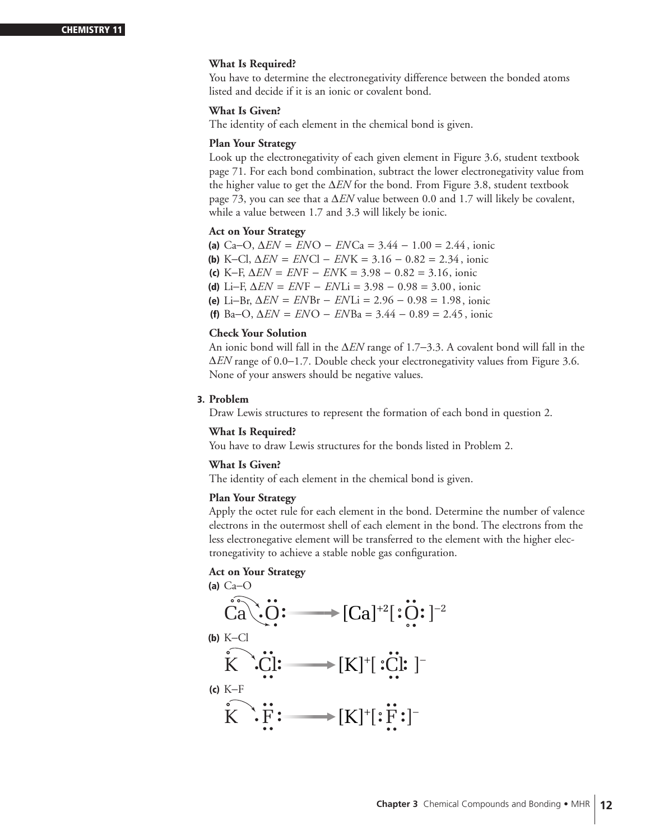#### **What Is Required?**

You have to determine the electronegativity difference between the bonded atoms listed and decide if it is an ionic or covalent bond.

#### **What Is Given?**

The identity of each element in the chemical bond is given.

#### **Plan Your Strategy**

Look up the electronegativity of each given element in Figure 3.6, student textbook page 71. For each bond combination, subtract the lower electronegativity value from the higher value to get the ∆*EN* for the bond. From Figure 3.8, student textbook page 73, you can see that a ∆*EN* value between 0.0 and 1.7 will likely be covalent, while a value between 1.7 and 3.3 will likely be ionic.

#### **Act on Your Strategy**

**(a)** Ca−O, ∆*EN* = *EN* O − *EN* Ca = 3.44 − 1.00 = 2.44 , ionic **(b)** K−Cl, ∆*EN* = *EN* Cl − *EN* K = 3.16 − 0.82 = 2.34 , ionic **(c)** K−F, ∆*EN* = *EN* F − *EN* K = 3.98 − 0.82 = 3.16, ionic **(d)** Li−F, ∆*EN* = *EN* F − *EN* Li = 3.98 − 0.98 = 3.00, ionic **(e)** Li−Br, ∆*EN* = *EN* Br − *EN* Li = 2.96 − 0.98 = 1.98, ionic **(f)** Ba−O, ∆*EN* = *EN* O − *EN* Ba = 3.44 − 0.89 = 2.45 , ionic

#### **Check Your Solution**

An ionic bond will fall in the ∆*EN* range of 1.7−3.3. A covalent bond will fall in the ∆*EN* range of 0.0−1.7. Double check your electronegativity values from Figure 3.6. None of your answers should be negative values.

#### **3. Problem**

Draw Lewis structures to represent the formation of each bond in question 2.

#### **What Is Required?**

You have to draw Lewis structures for the bonds listed in Problem 2.

#### **What Is Given?**

The identity of each element in the chemical bond is given.

#### **Plan Your Strategy**

Apply the octet rule for each element in the bond. Determine the number of valence electrons in the outermost shell of each element in the bond. The electrons from the less electronegative element will be transferred to the element with the higher electronegativity to achieve a stable noble gas configuration.

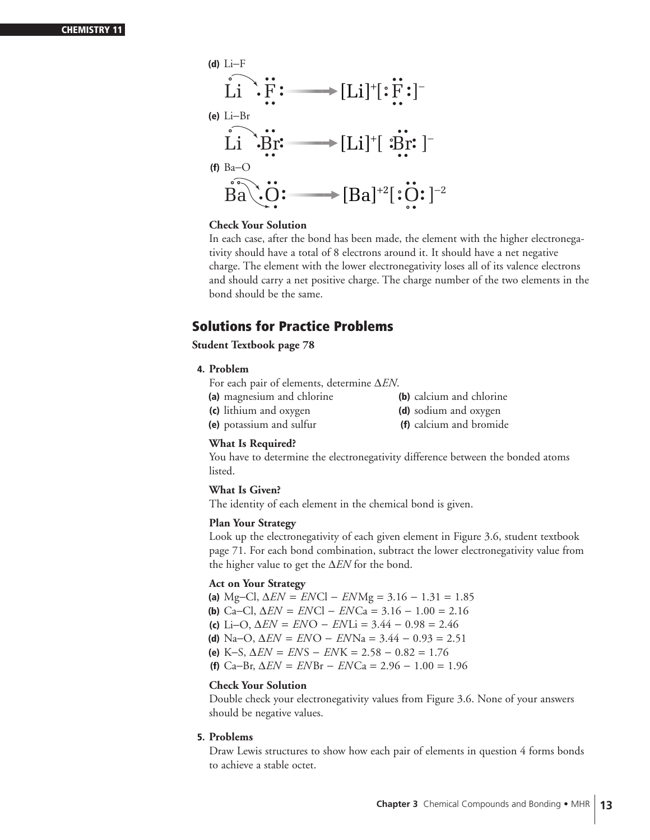

In each case, after the bond has been made, the element with the higher electronegativity should have a total of 8 electrons around it. It should have a net negative charge. The element with the lower electronegativity loses all of its valence electrons and should carry a net positive charge. The charge number of the two elements in the bond should be the same.

# **Solutions for Practice Problems**

#### **Student Textbook page 78**

#### **4. Problem**

- For each pair of elements, determine ∆*EN*.
- **(a)** magnesium and chlorine **(b)** calcium and chlorine **(c)** lithium and oxygen **(d)** sodium and oxygen
- 
- **(e)** potassium and sulfur **(f)** calcium and bromide

#### **What Is Required?**

You have to determine the electronegativity difference between the bonded atoms listed.

#### **What Is Given?**

The identity of each element in the chemical bond is given.

#### **Plan Your Strategy**

Look up the electronegativity of each given element in Figure 3.6, student textbook page 71. For each bond combination, subtract the lower electronegativity value from the higher value to get the ∆*EN* for the bond.

#### **Act on Your Strategy**

**(a)** Mg−Cl, ∆*EN* = *EN* Cl − *EN* Mg = 3.16 − 1.31 = 1.85 **(b)** Ca−Cl, ∆*EN* = *EN* Cl − *EN* Ca = 3.16 − 1.00 = 2.16 **(c)** Li−O, ∆*EN* = *EN* O − *EN* Li = 3.44 − 0.98 = 2.46 **(d)** Na−O, ∆*EN* = *EN* O − *EN* Na = 3.44 − 0.93 = 2.51 **(e)** K−S, ∆*EN* = *EN* S − *EN* K = 2.58 − 0.82 = 1.76 **(f)** Ca−Br, ∆*EN* = *EN* Br − *EN* Ca = 2.96 − 1.00 = 1.96

#### **Check Your Solution**

Double check your electronegativity values from Figure 3.6. None of your answers should be negative values.

#### **5. Problems**

Draw Lewis structures to show how each pair of elements in question 4 forms bonds to achieve a stable octet.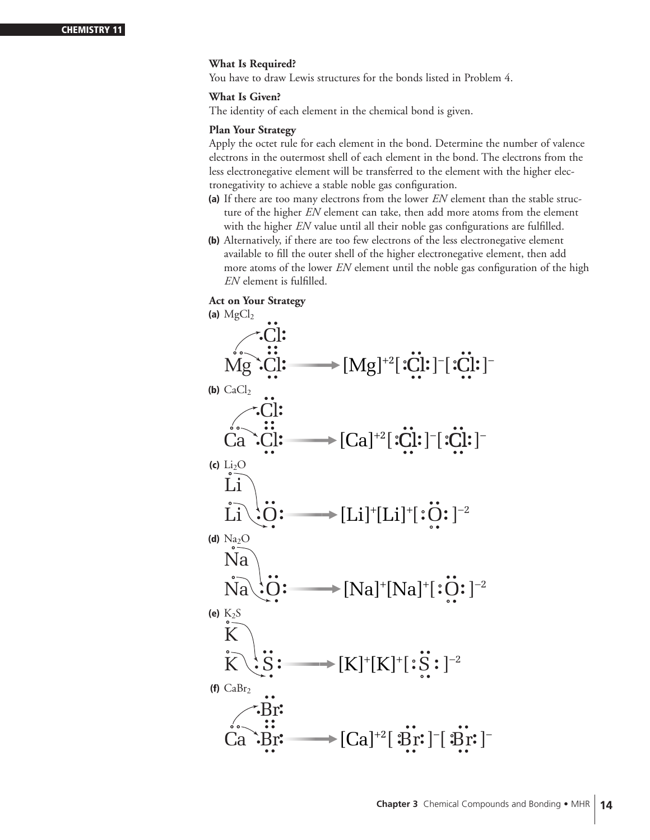#### **What Is Required?**

You have to draw Lewis structures for the bonds listed in Problem 4.

#### **What Is Given?**

The identity of each element in the chemical bond is given.

#### **Plan Your Strategy**

Apply the octet rule for each element in the bond. Determine the number of valence electrons in the outermost shell of each element in the bond. The electrons from the less electronegative element will be transferred to the element with the higher electronegativity to achieve a stable noble gas configuration.

- **(a)** If there are too many electrons from the lower *EN* element than the stable structure of the higher *EN* element can take, then add more atoms from the element with the higher *EN* value until all their noble gas configurations are fulfilled.
- **(b)** Alternatively, if there are too few electrons of the less electronegative element available to fill the outer shell of the higher electronegative element, then add more atoms of the lower *EN* element until the noble gas configuration of the high *EN* element is fulfilled.

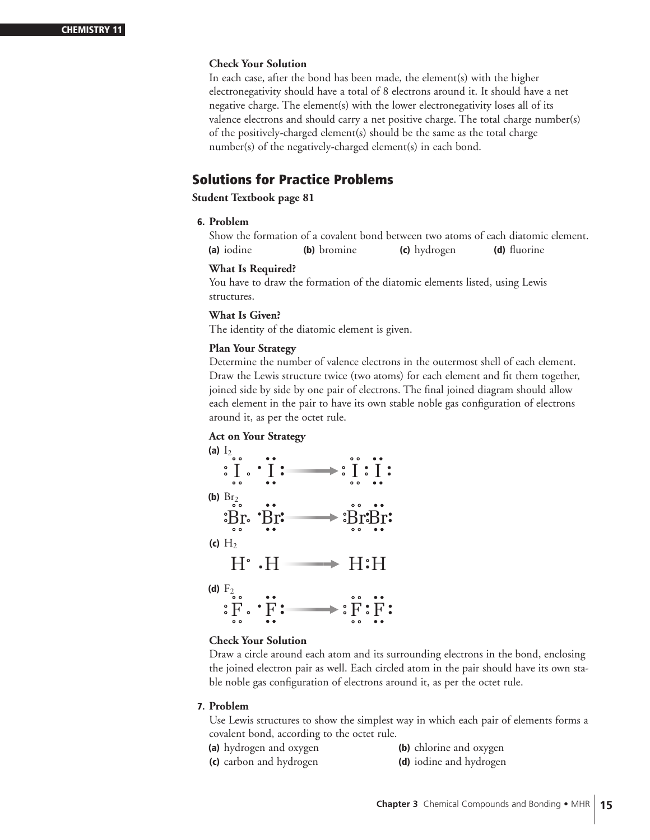In each case, after the bond has been made, the element(s) with the higher electronegativity should have a total of 8 electrons around it. It should have a net negative charge. The element(s) with the lower electronegativity loses all of its valence electrons and should carry a net positive charge. The total charge number(s) of the positively-charged element(s) should be the same as the total charge number(s) of the negatively-charged element(s) in each bond.

# **Solutions for Practice Problems**

#### **Student Textbook page 81**

#### **6. Problem**

Show the formation of a covalent bond between two atoms of each diatomic element. **(a)** iodine **(b)** bromine **(c)** hydrogen **(d)** fluorine

#### **What Is Required?**

You have to draw the formation of the diatomic elements listed, using Lewis structures.

#### **What Is Given?**

The identity of the diatomic element is given.

#### **Plan Your Strategy**

Determine the number of valence electrons in the outermost shell of each element. Draw the Lewis structure twice (two atoms) for each element and fit them together, joined side by side by one pair of electrons. The final joined diagram should allow each element in the pair to have its own stable noble gas configuration of electrons around it, as per the octet rule.

#### **Act on Your Strategy**



#### **Check Your Solution**

Draw a circle around each atom and its surrounding electrons in the bond, enclosing the joined electron pair as well. Each circled atom in the pair should have its own stable noble gas configuration of electrons around it, as per the octet rule.

#### **7. Problem**

Use Lewis structures to show the simplest way in which each pair of elements forms a covalent bond, according to the octet rule.

- **(a)** hydrogen and oxygen **(b)** chlorine and oxygen
- **(c)** carbon and hydrogen **(d)** iodine and hydrogen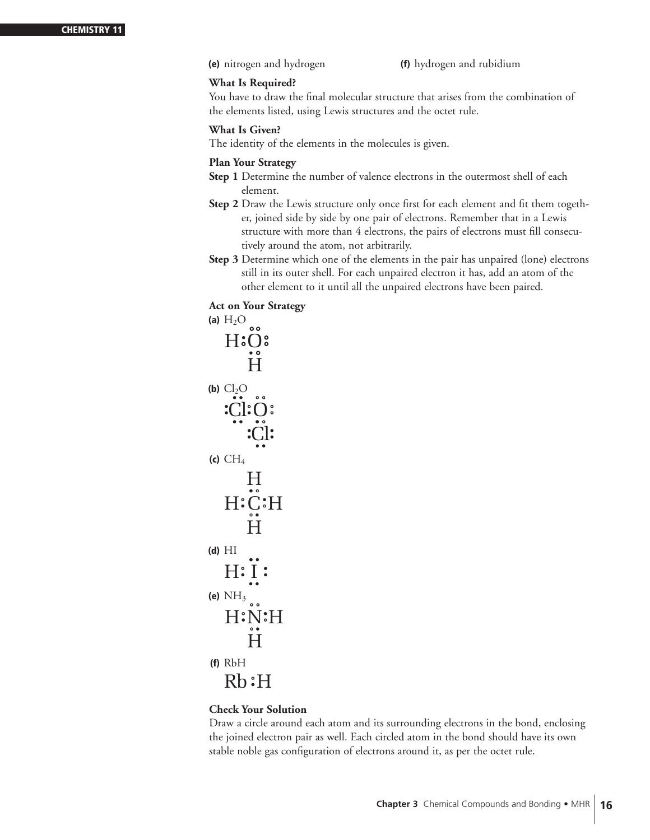**(e)** nitrogen and hydrogen **(f)** hydrogen and rubidium

#### **What Is Required?**

You have to draw the final molecular structure that arises from the combination of the elements listed, using Lewis structures and the octet rule.

#### **What Is Given?**

The identity of the elements in the molecules is given.

#### **Plan Your Strategy**

- **Step 1** Determine the number of valence electrons in the outermost shell of each element.
- **Step 2** Draw the Lewis structure only once first for each element and fit them together, joined side by side by one pair of electrons. Remember that in a Lewis structure with more than 4 electrons, the pairs of electrons must fill consecutively around the atom, not arbitrarily.
- **Step 3** Determine which one of the elements in the pair has unpaired (lone) electrons still in its outer shell. For each unpaired electron it has, add an atom of the other element to it until all the unpaired electrons have been paired.

## **Act on Your Strategy**

```
\overline{A} (a) H_2O oo
(b) Cl<sub>2</sub>O(c) CH_4(d) HI
(e) NH_3 \circ(f) RbH
   Rb:HH:Ņ:H
        H
   H: I:
   H:C:H
       H
       H
    Cl:O
        Cl
   H:O:
       H
```
## **Check Your Solution**

Draw a circle around each atom and its surrounding electrons in the bond, enclosing the joined electron pair as well. Each circled atom in the bond should have its own stable noble gas configuration of electrons around it, as per the octet rule.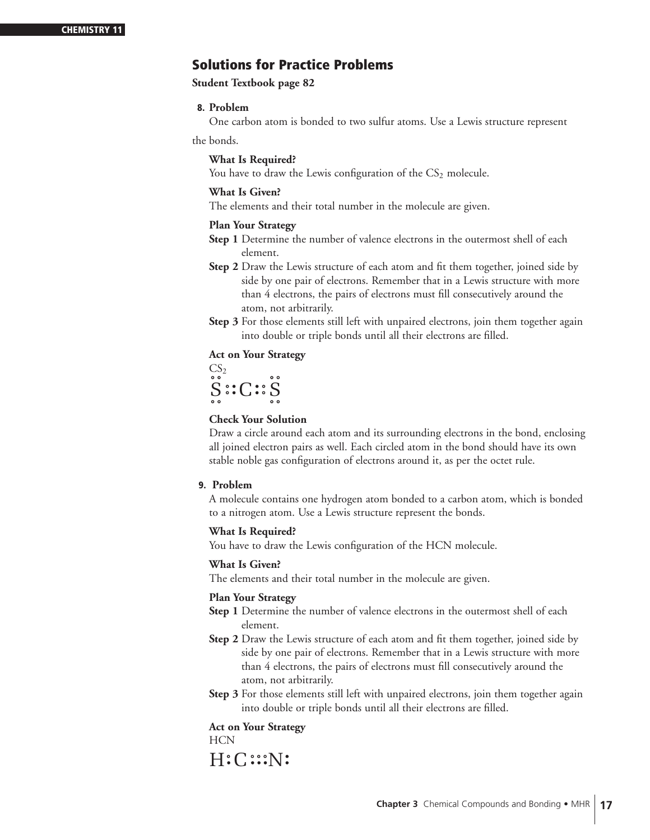# **Solutions for Practice Problems**

**Student Textbook page 82**

#### **8. Problem**

One carbon atom is bonded to two sulfur atoms. Use a Lewis structure represent

the bonds.

#### **What Is Required?**

You have to draw the Lewis configuration of the  $CS<sub>2</sub>$  molecule.

#### **What Is Given?**

The elements and their total number in the molecule are given.

#### **Plan Your Strategy**

- **Step 1** Determine the number of valence electrons in the outermost shell of each element.
- **Step 2** Draw the Lewis structure of each atom and fit them together, joined side by side by one pair of electrons. Remember that in a Lewis structure with more than 4 electrons, the pairs of electrons must fill consecutively around the atom, not arbitrarily.
- **Step 3** For those elements still left with unpaired electrons, join them together again into double or triple bonds until all their electrons are filled.

#### **Act on Your Strategy**

 $CS<sub>2</sub>$  $S$   $:$   $C$   $:$   $S$ 

#### **Check Your Solution**

Draw a circle around each atom and its surrounding electrons in the bond, enclosing all joined electron pairs as well. Each circled atom in the bond should have its own stable noble gas configuration of electrons around it, as per the octet rule.

#### **9. Problem**

A molecule contains one hydrogen atom bonded to a carbon atom, which is bonded to a nitrogen atom. Use a Lewis structure represent the bonds.

#### **What Is Required?**

You have to draw the Lewis configuration of the HCN molecule.

#### **What Is Given?**

The elements and their total number in the molecule are given.

#### **Plan Your Strategy**

- **Step 1** Determine the number of valence electrons in the outermost shell of each element.
- **Step 2** Draw the Lewis structure of each atom and fit them together, joined side by side by one pair of electrons. Remember that in a Lewis structure with more than 4 electrons, the pairs of electrons must fill consecutively around the atom, not arbitrarily.
- **Step 3** For those elements still left with unpaired electrons, join them together again into double or triple bonds until all their electrons are filled.

#### **Act on Your Strategy**

HCN

 $H:C::N$ :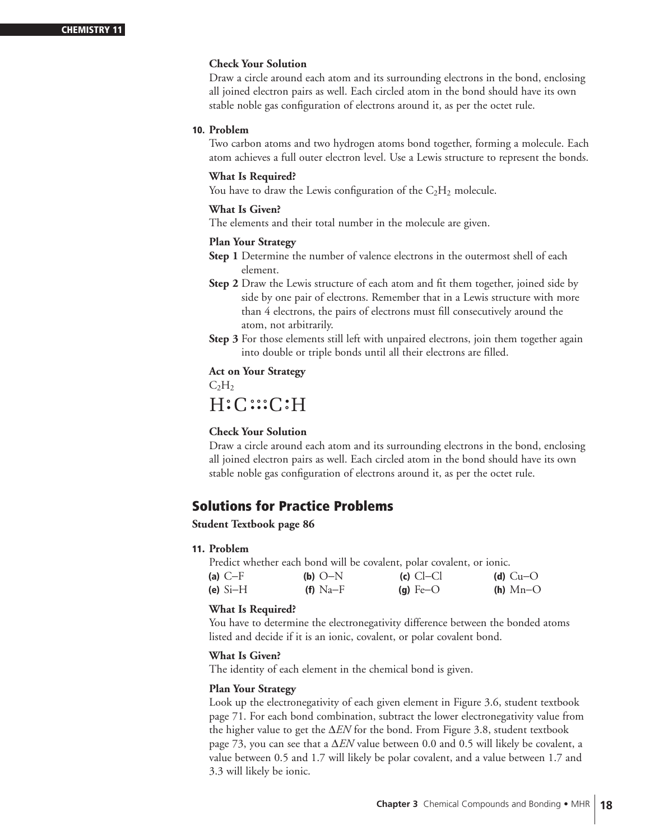Draw a circle around each atom and its surrounding electrons in the bond, enclosing all joined electron pairs as well. Each circled atom in the bond should have its own stable noble gas configuration of electrons around it, as per the octet rule.

#### **10. Problem**

Two carbon atoms and two hydrogen atoms bond together, forming a molecule. Each atom achieves a full outer electron level. Use a Lewis structure to represent the bonds.

#### **What Is Required?**

You have to draw the Lewis configuration of the  $C_2H_2$  molecule.

#### **What Is Given?**

The elements and their total number in the molecule are given.

#### **Plan Your Strategy**

- **Step 1** Determine the number of valence electrons in the outermost shell of each element.
- **Step 2** Draw the Lewis structure of each atom and fit them together, joined side by side by one pair of electrons. Remember that in a Lewis structure with more than 4 electrons, the pairs of electrons must fill consecutively around the atom, not arbitrarily.
- **Step 3** For those elements still left with unpaired electrons, join them together again into double or triple bonds until all their electrons are filled.

# **Act on Your Strategy**

 $C_2H_2$ 

# $H:C::C:H$

#### **Check Your Solution**

Draw a circle around each atom and its surrounding electrons in the bond, enclosing all joined electron pairs as well. Each circled atom in the bond should have its own stable noble gas configuration of electrons around it, as per the octet rule.

# **Solutions for Practice Problems**

#### **Student Textbook page 86**

**11. Problem**

Predict whether each bond will be covalent, polar covalent, or ionic. **(a)** C−F **(b)** O−N **(c)** Cl−Cl **(d)** Cu−O **(e)** Si−H **(f)** Na−F **(g)** Fe−O **(h)** Mn−O

#### **What Is Required?**

You have to determine the electronegativity difference between the bonded atoms listed and decide if it is an ionic, covalent, or polar covalent bond.

#### **What Is Given?**

The identity of each element in the chemical bond is given.

#### **Plan Your Strategy**

Look up the electronegativity of each given element in Figure 3.6, student textbook page 71. For each bond combination, subtract the lower electronegativity value from the higher value to get the ∆*EN* for the bond. From Figure 3.8, student textbook page 73, you can see that a ∆*EN* value between 0.0 and 0.5 will likely be covalent, a value between 0.5 and 1.7 will likely be polar covalent, and a value between 1.7 and 3.3 will likely be ionic.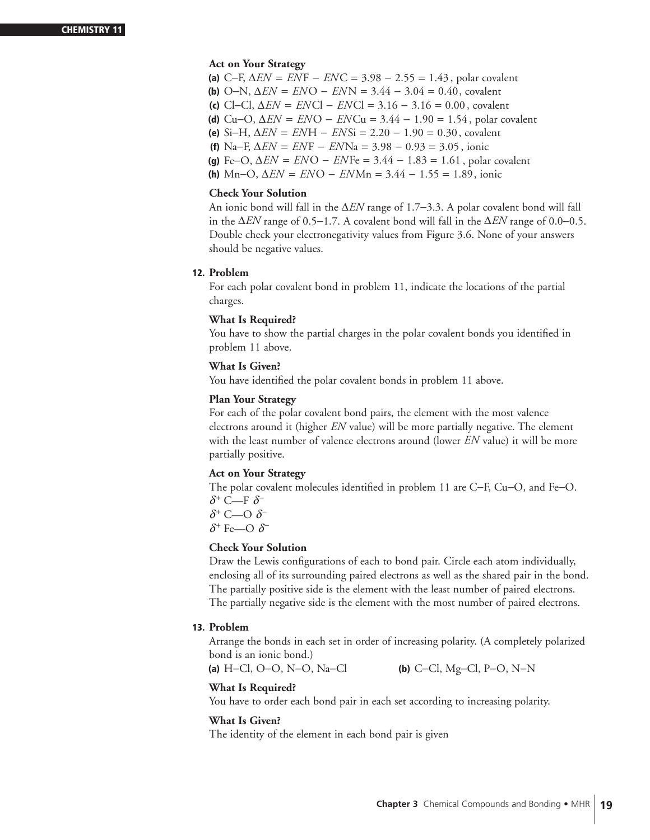#### **Act on Your Strategy**

- **(a)** C−F, ∆*EN* = *EN* F − *EN* C = 3.98 − 2.55 = 1.43 , polar covalent
- **(b)** O−N, ∆*EN* = *EN* O − *EN* N = 3.44 − 3.04 = 0.40, covalent
- **(c)** Cl−Cl, ∆*EN* = *EN* Cl − *EN* Cl = 3.16 − 3.16 = 0.00 , covalent
- **(d)** Cu−O, ∆*EN* = *EN* O − *EN* Cu = 3.44 − 1.90 = 1.54 , polar covalent
- **(e)** Si−H, ∆*EN* = *EN* H − *EN* Si = 2.20 − 1.90 = 0.30, covalent
	- **(f)** Na−F, ∆*EN* = *EN* F − *EN* Na = 3.98 − 0.93 = 3.05 , ionic
- **(g)** Fe−O, ∆*EN* = *EN* O − *EN* Fe = 3.44 − 1.83 = 1.61 , polar covalent
- **(h)** Mn−O, ∆*EN* = *EN* O − *EN* Mn = 3.44 − 1.55 = 1.89, ionic

#### **Check Your Solution**

An ionic bond will fall in the ∆*EN* range of 1.7−3.3. A polar covalent bond will fall in the ∆*EN* range of 0.5−1.7. A covalent bond will fall in the ∆*EN* range of 0.0−0.5. Double check your electronegativity values from Figure 3.6. None of your answers should be negative values.

#### **12. Problem**

For each polar covalent bond in problem 11, indicate the locations of the partial charges.

#### **What Is Required?**

You have to show the partial charges in the polar covalent bonds you identified in problem 11 above.

#### **What Is Given?**

You have identified the polar covalent bonds in problem 11 above.

#### **Plan Your Strategy**

For each of the polar covalent bond pairs, the element with the most valence electrons around it (higher *EN* value) will be more partially negative. The element with the least number of valence electrons around (lower *EN* value) it will be more partially positive.

#### **Act on Your Strategy**

The polar covalent molecules identified in problem 11 are C−F, Cu−O, and Fe−O. *δ*<sup>+</sup> C—F *δ*<sup>−</sup>

*δ*<sup>+</sup> C—O *δ*<sup>−</sup>

*δ*<sup>+</sup> Fe—Ο *δ*<sup>−</sup>

#### **Check Your Solution**

Draw the Lewis configurations of each to bond pair. Circle each atom individually, enclosing all of its surrounding paired electrons as well as the shared pair in the bond. The partially positive side is the element with the least number of paired electrons. The partially negative side is the element with the most number of paired electrons.

#### **13. Problem**

Arrange the bonds in each set in order of increasing polarity. (A completely polarized bond is an ionic bond.)

**(a)** H−Cl, O−O, N−O, Na−Cl **(b)** C−Cl, Mg−Cl, P−O, N−N

#### **What Is Required?**

You have to order each bond pair in each set according to increasing polarity.

#### **What Is Given?**

The identity of the element in each bond pair is given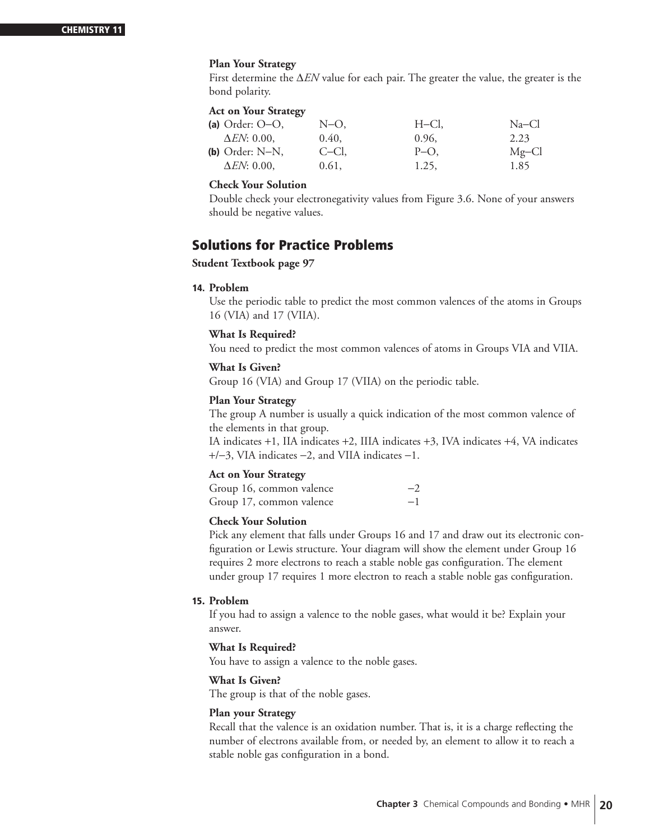#### **Plan Your Strategy**

First determine the ∆*EN* value for each pair. The greater the value, the greater is the bond polarity.

#### **Act on Your Strategy**

| (a) Order: $O-O$ , | N-O.  | H–Cl,   | $Na-Cl$  |
|--------------------|-------|---------|----------|
| $\Delta EN: 0.00$  | 0.40, | 0.96,   | 2.23     |
| (b) Order: $N-N$ , | C-Cl. | $P-O$ . | $Mg$ –Cl |
| $\Delta EN: 0.00$  | 0.61, | 1.25,   | 1.85     |

#### **Check Your Solution**

Double check your electronegativity values from Figure 3.6. None of your answers should be negative values.

# **Solutions for Practice Problems**

#### **Student Textbook page 97**

#### **14. Problem**

Use the periodic table to predict the most common valences of the atoms in Groups 16 (VIA) and 17 (VIIA).

#### **What Is Required?**

You need to predict the most common valences of atoms in Groups VIA and VIIA.

## **What Is Given?**

Group 16 (VIA) and Group 17 (VIIA) on the periodic table.

#### **Plan Your Strategy**

The group A number is usually a quick indication of the most common valence of the elements in that group.

IA indicates +1, IIA indicates +2, IIIA indicates +3, IVA indicates +4, VA indicates +/−3, VIA indicates −2, and VIIA indicates −1.

#### **Act on Your Strategy**

| Group 16, common valence | $-2$ |
|--------------------------|------|
| Group 17, common valence | $-1$ |

#### **Check Your Solution**

Pick any element that falls under Groups 16 and 17 and draw out its electronic configuration or Lewis structure. Your diagram will show the element under Group 16 requires 2 more electrons to reach a stable noble gas configuration. The element under group 17 requires 1 more electron to reach a stable noble gas configuration.

#### **15. Problem**

If you had to assign a valence to the noble gases, what would it be? Explain your answer.

#### **What Is Required?**

You have to assign a valence to the noble gases.

#### **What Is Given?**

The group is that of the noble gases.

#### **Plan your Strategy**

Recall that the valence is an oxidation number. That is, it is a charge reflecting the number of electrons available from, or needed by, an element to allow it to reach a stable noble gas configuration in a bond.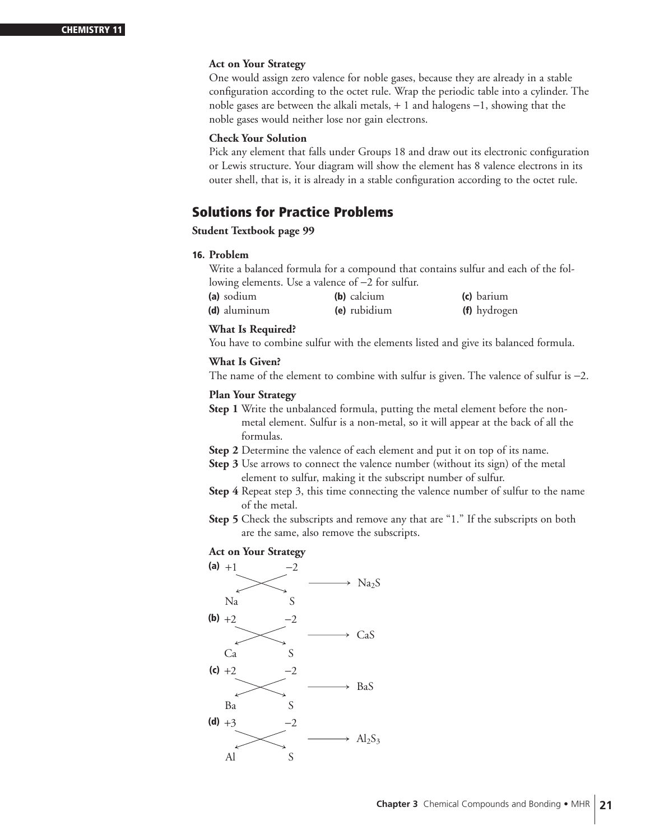#### **Act on Your Strategy**

One would assign zero valence for noble gases, because they are already in a stable configuration according to the octet rule. Wrap the periodic table into a cylinder. The noble gases are between the alkali metals, + 1 and halogens −1, showing that the noble gases would neither lose nor gain electrons.

#### **Check Your Solution**

Pick any element that falls under Groups 18 and draw out its electronic configuration or Lewis structure. Your diagram will show the element has 8 valence electrons in its outer shell, that is, it is already in a stable configuration according to the octet rule.

# **Solutions for Practice Problems**

#### **Student Textbook page 99**

#### **16. Problem**

Write a balanced formula for a compound that contains sulfur and each of the following elements. Use a valence of −2 for sulfur.

| (a) sodium   | (b) calcium  | (c) barium   |
|--------------|--------------|--------------|
| (d) aluminum | (e) rubidium | (f) hydrogen |

#### **What Is Required?**

You have to combine sulfur with the elements listed and give its balanced formula.

#### **What Is Given?**

The name of the element to combine with sulfur is given. The valence of sulfur is −2.

#### **Plan Your Strategy**

- **Step 1** Write the unbalanced formula, putting the metal element before the nonmetal element. Sulfur is a non-metal, so it will appear at the back of all the formulas.
- **Step 2** Determine the valence of each element and put it on top of its name.
- **Step 3** Use arrows to connect the valence number (without its sign) of the metal element to sulfur, making it the subscript number of sulfur.
- **Step 4** Repeat step 3, this time connecting the valence number of sulfur to the name of the metal.
- **Step 5** Check the subscripts and remove any that are "1." If the subscripts on both are the same, also remove the subscripts.

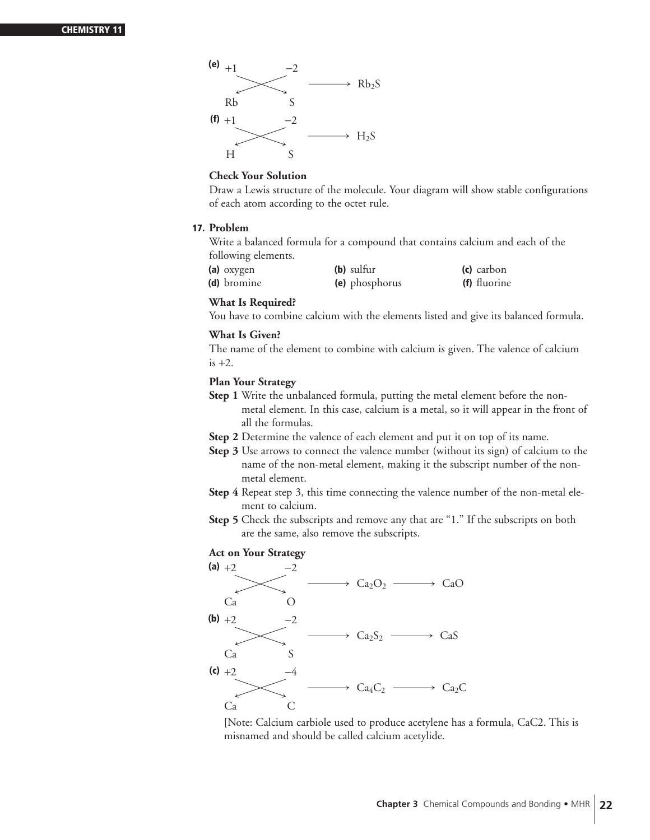

Draw a Lewis structure of the molecule. Your diagram will show stable configurations of each atom according to the octet rule.

#### **17. Problem**

Write a balanced formula for a compound that contains calcium and each of the following elements.

| (a) oxygen  | (b) sulfur     | (c) carbon   |
|-------------|----------------|--------------|
| (d) bromine | (e) phosphorus | (f) fluorine |

#### **What Is Required?**

You have to combine calcium with the elements listed and give its balanced formula.

#### **What Is Given?**

The name of the element to combine with calcium is given. The valence of calcium  $is +2.$ 

#### **Plan Your Strategy**

- **Step 1** Write the unbalanced formula, putting the metal element before the nonmetal element. In this case, calcium is a metal, so it will appear in the front of all the formulas.
- **Step 2** Determine the valence of each element and put it on top of its name.
- **Step 3** Use arrows to connect the valence number (without its sign) of calcium to the name of the non-metal element, making it the subscript number of the nonmetal element.
- **Step 4** Repeat step 3, this time connecting the valence number of the non-metal element to calcium.
- **Step 5** Check the subscripts and remove any that are "1." If the subscripts on both are the same, also remove the subscripts.

#### **Act on Your Strategy**



[Note: Calcium carbiole used to produce acetylene has a formula, CaC2. This is misnamed and should be called calcium acetylide.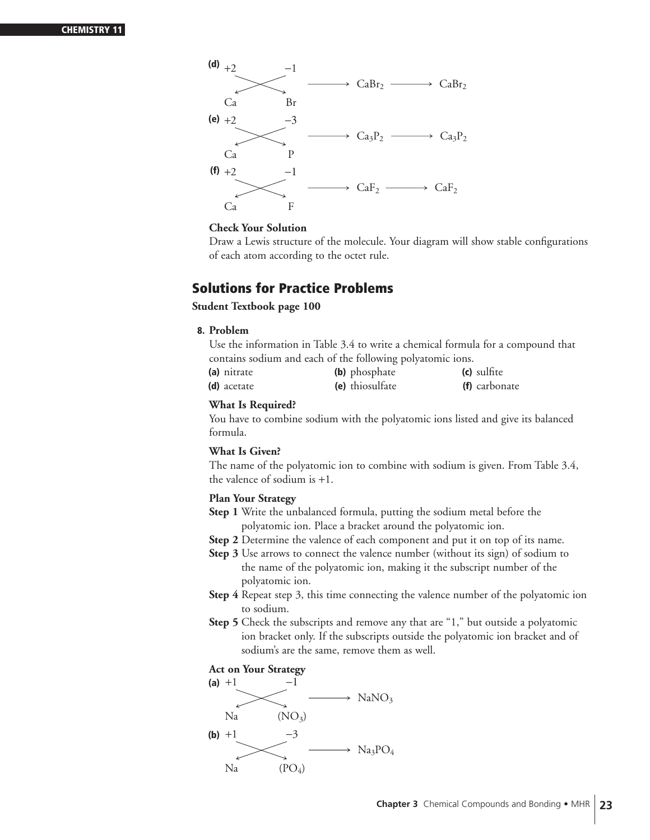

Draw a Lewis structure of the molecule. Your diagram will show stable configurations of each atom according to the octet rule.

# **Solutions for Practice Problems**

#### **Student Textbook page 100**

**8. Problem**

Use the information in Table 3.4 to write a chemical formula for a compound that contains sodium and each of the following polyatomic ions.

| (a) nitrate | (b) phosphate   | (c) sulfite   |
|-------------|-----------------|---------------|
| (d) acetate | (e) thiosulfate | (f) carbonate |

#### **What Is Required?**

You have to combine sodium with the polyatomic ions listed and give its balanced formula.

#### **What Is Given?**

The name of the polyatomic ion to combine with sodium is given. From Table 3.4, the valence of sodium is +1.

#### **Plan Your Strategy**

- **Step 1** Write the unbalanced formula, putting the sodium metal before the polyatomic ion. Place a bracket around the polyatomic ion.
- **Step 2** Determine the valence of each component and put it on top of its name.
- **Step 3** Use arrows to connect the valence number (without its sign) of sodium to the name of the polyatomic ion, making it the subscript number of the polyatomic ion.
- **Step 4** Repeat step 3, this time connecting the valence number of the polyatomic ion to sodium.
- **Step 5** Check the subscripts and remove any that are "1," but outside a polyatomic ion bracket only. If the subscripts outside the polyatomic ion bracket and of sodium's are the same, remove them as well.

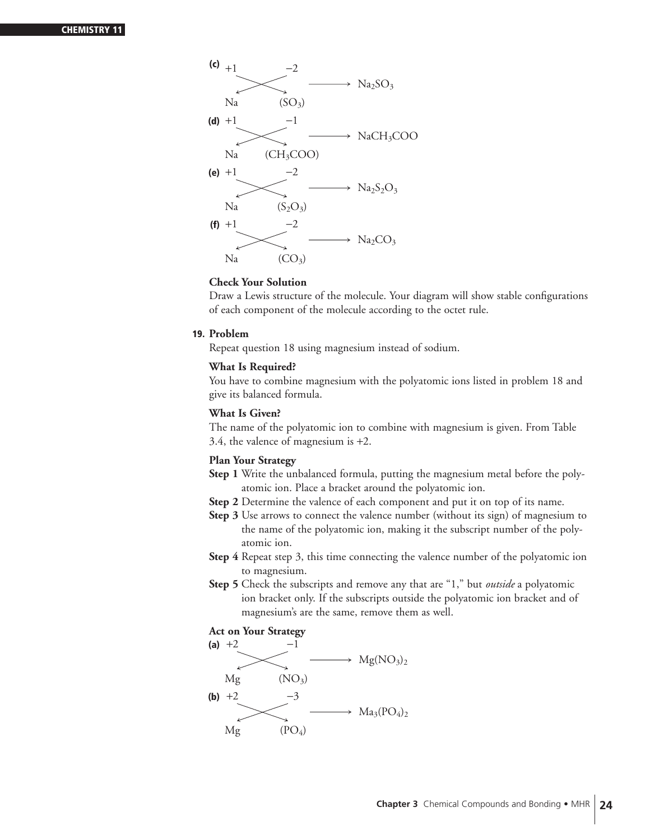

Draw a Lewis structure of the molecule. Your diagram will show stable configurations of each component of the molecule according to the octet rule.

#### **19. Problem**

Repeat question 18 using magnesium instead of sodium.

#### **What Is Required?**

You have to combine magnesium with the polyatomic ions listed in problem 18 and give its balanced formula.

#### **What Is Given?**

The name of the polyatomic ion to combine with magnesium is given. From Table 3.4, the valence of magnesium is +2.

#### **Plan Your Strategy**

- **Step 1** Write the unbalanced formula, putting the magnesium metal before the polyatomic ion. Place a bracket around the polyatomic ion.
- **Step 2** Determine the valence of each component and put it on top of its name.
- **Step 3** Use arrows to connect the valence number (without its sign) of magnesium to the name of the polyatomic ion, making it the subscript number of the polyatomic ion.
- **Step 4** Repeat step 3, this time connecting the valence number of the polyatomic ion to magnesium.
- **Step 5** Check the subscripts and remove any that are "1," but *outside* a polyatomic ion bracket only. If the subscripts outside the polyatomic ion bracket and of magnesium's are the same, remove them as well.

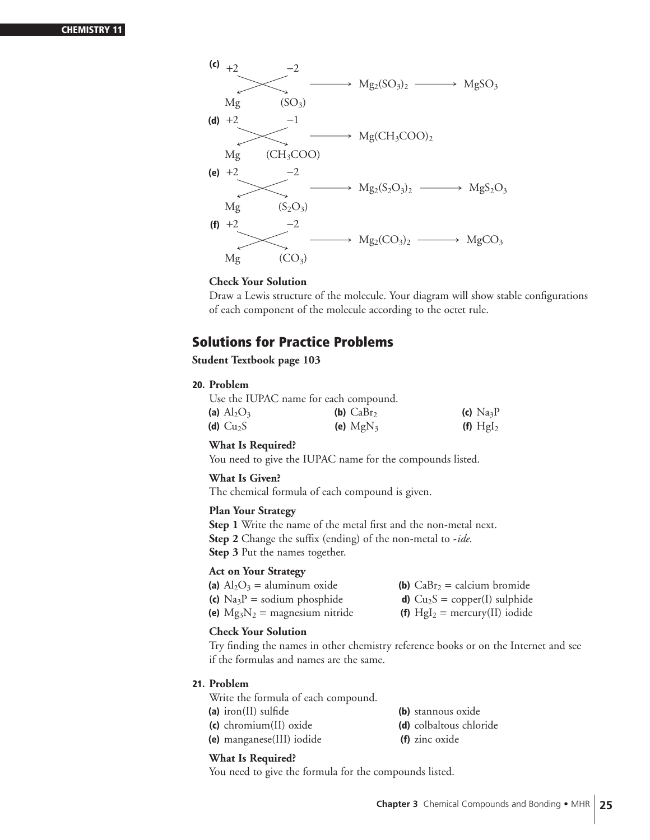

Draw a Lewis structure of the molecule. Your diagram will show stable configurations of each component of the molecule according to the octet rule.

# **Solutions for Practice Problems**

#### **Student Textbook page 103**

#### **20. Problem**

|                             | Use the IUPAC name for each compound. |            |
|-----------------------------|---------------------------------------|------------|
| (a) $\text{Al}_2\text{O}_3$ | (b) $CaBr2$                           | (c) $Na3P$ |
| (d) $Cu2S$                  | (e) $MgN_3$                           | (f) $Hgl2$ |

#### **What Is Required?**

You need to give the IUPAC name for the compounds listed.

#### **What Is Given?**

The chemical formula of each compound is given.

#### **Plan Your Strategy**

**Step 1** Write the name of the metal first and the non-metal next. **Step 2** Change the suffix (ending) of the non-metal to -*ide*. **Step 3** Put the names together.

#### **Act on Your Strategy**

| (a) $Al_2O_3 =$ aluminum oxide                      | (b) $CaBr2 = calcium bromide$          |
|-----------------------------------------------------|----------------------------------------|
| (c) $\text{Na}_3\text{P} = \text{sodium phosphate}$ | <b>d)</b> $Cu_2S = copper(I)$ sulphide |
| (e) $Mg_3N_2$ = magnesium nitride                   | (f) $Hgl2 = mercury(II) iodide$        |

#### **Check Your Solution**

Try finding the names in other chemistry reference books or on the Internet and see if the formulas and names are the same.

#### **21. Problem**

Write the formula of each compound.

- **(a)** iron(II) sulfide **(b)** stannous oxide
	-
- **(c)** chromium(II) oxide **(d)** colbaltous chloride
- **(e)** manganese(III) iodide **(f)** zinc oxide

#### **What Is Required?**

You need to give the formula for the compounds listed.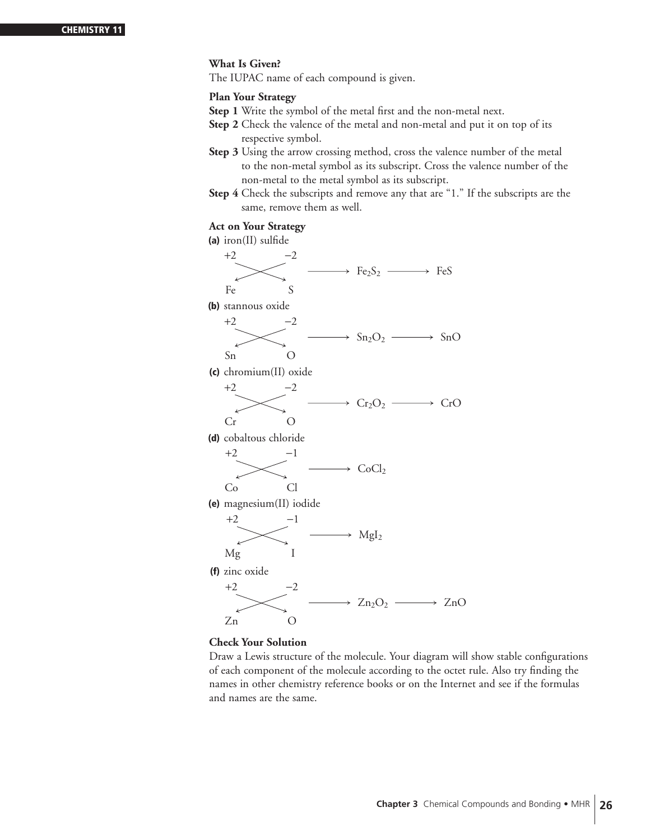#### **What Is Given?**

The IUPAC name of each compound is given.

#### **Plan Your Strategy**

- **Step 1** Write the symbol of the metal first and the non-metal next.
- **Step 2** Check the valence of the metal and non-metal and put it on top of its respective symbol.
- **Step 3** Using the arrow crossing method, cross the valence number of the metal to the non-metal symbol as its subscript. Cross the valence number of the non-metal to the metal symbol as its subscript.
- **Step 4** Check the subscripts and remove any that are "1." If the subscripts are the same, remove them as well.

#### **Act on Your Strategy**



#### **Check Your Solution**

Draw a Lewis structure of the molecule. Your diagram will show stable configurations of each component of the molecule according to the octet rule. Also try finding the names in other chemistry reference books or on the Internet and see if the formulas and names are the same.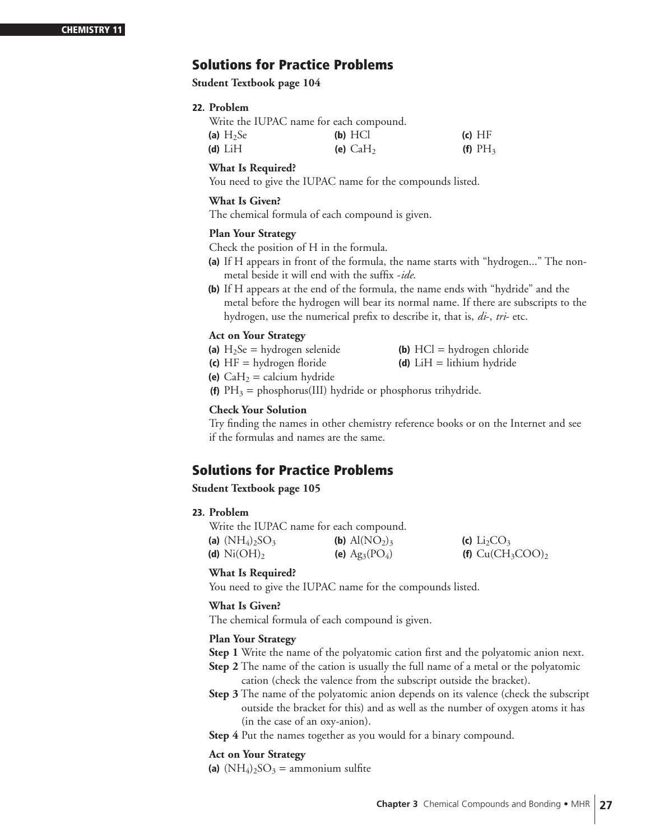# **Solutions for Practice Problems**

**Student Textbook page 104**

#### **22. Problem**

|             | Write the IUPAC name for each compound. |            |
|-------------|-----------------------------------------|------------|
| (a) $H_2Se$ | $(b)$ HCl                               | (c) HF     |
| (d) $LiH$   | (e) $CaH2$                              | (f) $PH_3$ |

#### **What Is Required?**

You need to give the IUPAC name for the compounds listed.

#### **What Is Given?**

The chemical formula of each compound is given.

#### **Plan Your Strategy**

Check the position of H in the formula.

- **(a)** If H appears in front of the formula, the name starts with "hydrogen..." The nonmetal beside it will end with the suffix -*ide*.
- **(b)** If H appears at the end of the formula, the name ends with "hydride" and the metal before the hydrogen will bear its normal name. If there are subscripts to the hydrogen, use the numerical prefix to describe it, that is, *di*-, *tri*- etc.

#### **Act on Your Strategy**

| (a) $H_2Se = hydrogen$ selenide | (b) $HCl = hydrogen chloride$ |
|---------------------------------|-------------------------------|
| (c) $HF = hydrogen$ floride     | (d) $LiH = lithium hydride$   |
| (e) $CaH_2 =$ calcium hydride   |                               |

**(f)**  $PH_3$  = phosphorus(III) hydride or phosphorus trihydride.

#### **Check Your Solution**

Try finding the names in other chemistry reference books or on the Internet and see if the formulas and names are the same.

# **Solutions for Practice Problems**

#### **Student Textbook page 105**

#### **23. Problem**

Write the IUPAC name for each compound.

| (a) $(NH_4)_2SO_3$               | ( <b>b</b> ) $\text{Al}(\text{NO}_2)_3$ | (c) $Li_2CO_3$      |
|----------------------------------|-----------------------------------------|---------------------|
| (d) $\mathrm{Ni}(\mathrm{OH})_2$ | (e) $Ag_3(PO_4)$                        | (f) $Cu(CH_3COO)_2$ |

#### **What Is Required?**

You need to give the IUPAC name for the compounds listed.

#### **What Is Given?**

The chemical formula of each compound is given.

#### **Plan Your Strategy**

- **Step 1** Write the name of the polyatomic cation first and the polyatomic anion next.
- **Step 2** The name of the cation is usually the full name of a metal or the polyatomic cation (check the valence from the subscript outside the bracket).
- **Step 3** The name of the polyatomic anion depends on its valence (check the subscript outside the bracket for this) and as well as the number of oxygen atoms it has (in the case of an oxy-anion).

**Step 4** Put the names together as you would for a binary compound.

#### **Act on Your Strategy**

(a)  $(NH_4)_2SO_3 =$  ammonium sulfite